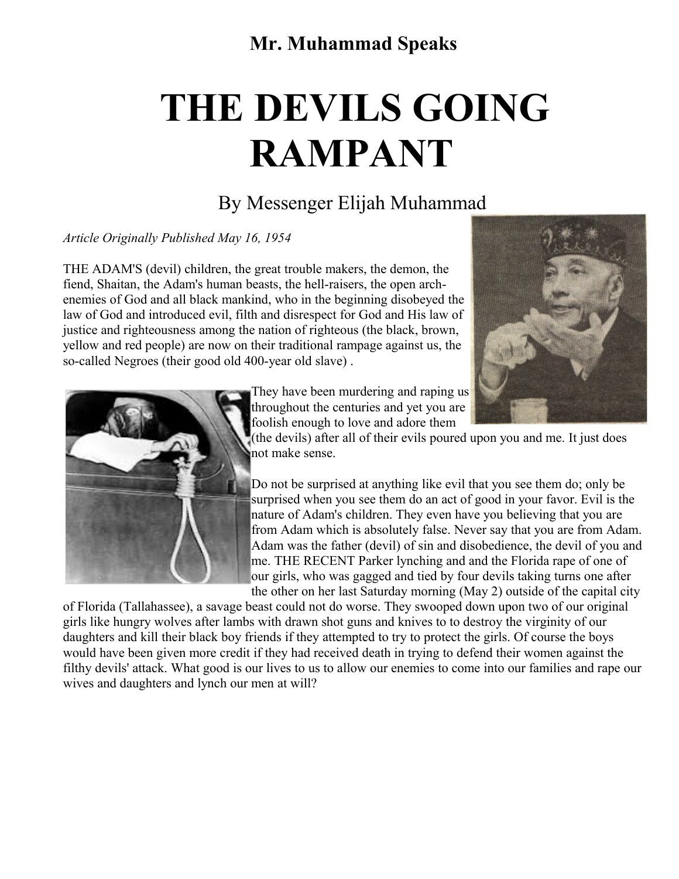## **Mr. Muhammad Speaks**

## **THE DEVILS GOING RAMPANT**

## By Messenger Elijah Muhammad

*Article Originally Published May 16, 1954*

THE ADAM'S (devil) children, the great trouble makers, the demon, the fiend, Shaitan, the Adam's human beasts, the hell-raisers, the open archenemies of God and all black mankind, who in the beginning disobeyed the law of God and introduced evil, filth and disrespect for God and His law of justice and righteousness among the nation of righteous (the black, brown, yellow and red people) are now on their traditional rampage against us, the so-called Negroes (their good old 400-year old slave) .





They have been murdering and raping us throughout the centuries and yet you are foolish enough to love and adore them

(the devils) after all of their evils poured upon you and me. It just does not make sense.

Do not be surprised at anything like evil that you see them do; only be surprised when you see them do an act of good in your favor. Evil is the nature of Adam's children. They even have you believing that you are from Adam which is absolutely false. Never say that you are from Adam. Adam was the father (devil) of sin and disobedience, the devil of you and me. THE RECENT Parker lynching and and the Florida rape of one of our girls, who was gagged and tied by four devils taking turns one after the other on her last Saturday morning (May 2) outside of the capital city

of Florida (Tallahassee), a savage beast could not do worse. They swooped down upon two of our original girls like hungry wolves after lambs with drawn shot guns and knives to to destroy the virginity of our daughters and kill their black boy friends if they attempted to try to protect the girls. Of course the boys would have been given more credit if they had received death in trying to defend their women against the filthy devils' attack. What good is our lives to us to allow our enemies to come into our families and rape our wives and daughters and lynch our men at will?